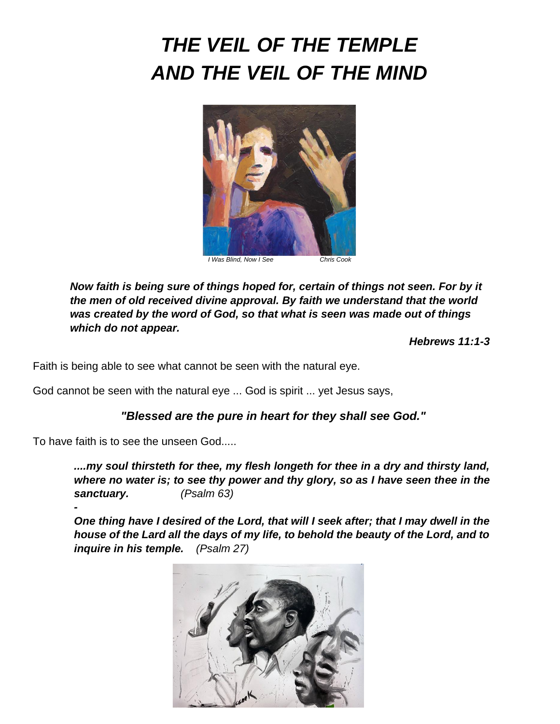# *THE VEIL OF THE TEMPLE AND THE VEIL OF THE MIND*



*Now faith is being sure of things hoped for, certain of things not seen. For by it the men of old received divine approval. By faith we understand that the world was created by the word of God, so that what is seen was made out of things which do not appear.* 

*Hebrews 11:1-3*

Faith is being able to see what cannot be seen with the natural eye.

God cannot be seen with the natural eye ... God is spirit ... yet Jesus says,

### *"Blessed are the pure in heart for they shall see God."*

To have faith is to see the unseen God.....

*-*

*....my soul thirsteth for thee, my flesh longeth for thee in a dry and thirsty land, where no water is; to see thy power and thy glory, so as I have seen thee in the sanctuary. (Psalm 63)*

*One thing have I desired of the Lord, that will I seek after; that I may dwell in the house of the Lard all the days of my life, to behold the beauty of the Lord, and to inquire in his temple. (Psalm 27)*

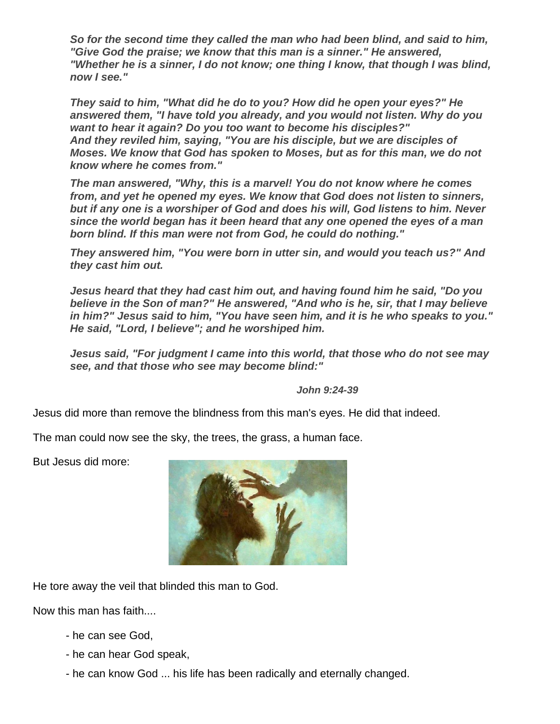*So for the second time they called the man who had been blind, and said to him, "Give God the praise; we know that this man is a sinner." He answered, "Whether he is a sinner, I do not know; one thing I know, that though I was blind, now I see."* 

*They said to him, "What did he do to you? How did he open your eyes?" He answered them, "I have told you already, and you would not listen. Why do you want to hear it again? Do you too want to become his disciples?" And they reviled him, saying, "You are his disciple, but we are disciples of Moses. We know that God has spoken to Moses, but as for this man, we do not know where he comes from."*

*The man answered, "Why, this is a marvel! You do not know where he comes from, and yet he opened my eyes. We know that God does not listen to sinners, but if any one is a worshiper of God and does his will, God listens to him. Never since the world began has it been heard that any one opened the eyes of a man born blind. If this man were not from God, he could do nothing."* 

*They answered him, "You were born in utter sin, and would you teach us?" And they cast him out.*

*Jesus heard that they had cast him out, and having found him he said, "Do you believe in the Son of man?" He answered, "And who is he, sir, that I may believe in him?" Jesus said to him, "You have seen him, and it is he who speaks to you." He said, "Lord, I believe"; and he worshiped him.* 

*Jesus said, "For judgment I came into this world, that those who do not see may see, and that those who see may become blind:"* 

*John 9:24-39*

Jesus did more than remove the blindness from this man's eyes. He did that indeed.

The man could now see the sky, the trees, the grass, a human face.

But Jesus did more:



He tore away the veil that blinded this man to God.

Now this man has faith....

- he can see God,
- he can hear God speak,
- he can know God ... his life has been radically and eternally changed.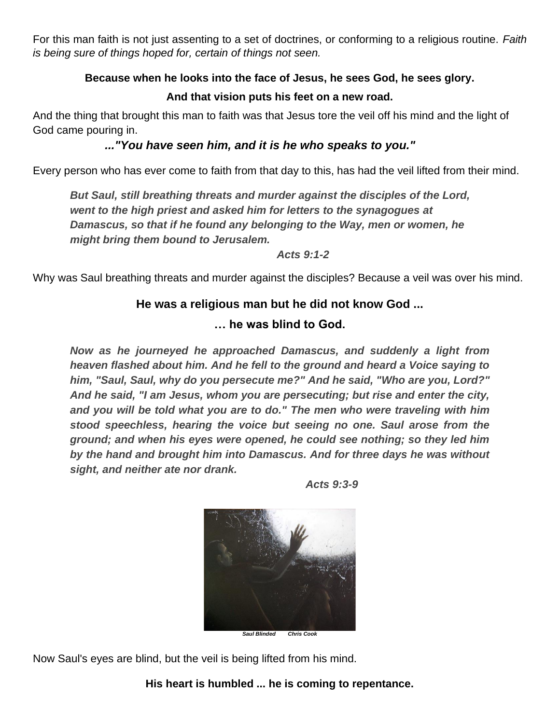For this man faith is not just assenting to a set of doctrines, or conforming to a religious routine. *Faith is being sure of things hoped for, certain of things not seen.* 

## **Because when he looks into the face of Jesus, he sees God, he sees glory.**

## **And that vision puts his feet on a new road.**

And the thing that brought this man to faith was that Jesus tore the veil off his mind and the light of God came pouring in.

# *..."You have seen him, [and it](http://and.it/) is he who speaks to you."*

Every person who has ever come to faith from that day to this, has had the veil lifted from their mind.

*But Saul, still breathing threats and murder against the disciples of the Lord, went to the high priest and asked him for letters to the synagogues at Damascus, so that if he found any belonging to the Way, men or women, he might bring them bound to Jerusalem.*

*Acts 9:1-2*

Why was Saul breathing threats and murder against the disciples? Because a veil was over his mind.

# **He was a religious man but he did not know God ...**

## **… he was blind to God.**

*Now as he journeyed he approached Damascus, and suddenly a light from heaven flashed about him. And he fell to the ground and heard a Voice saying to him, "Saul, Saul, why do you persecute me?" And he said, "Who are you, Lord?" And he said, "I am Jesus, whom you are persecuting; but rise and enter the city, and you will be told what you are to do." The men who were traveling with him stood speechless, hearing the voice but seeing no one. Saul arose from the ground; and when his eyes were opened, he could see nothing; so they led him by the hand and brought him into Damascus. And for three days he was without sight, and neither ate nor drank.*



*Acts 9:3-9*

Now Saul's eyes are blind, but the veil is being lifted from his mind.

**His heart is humbled ... he is coming to repentance.**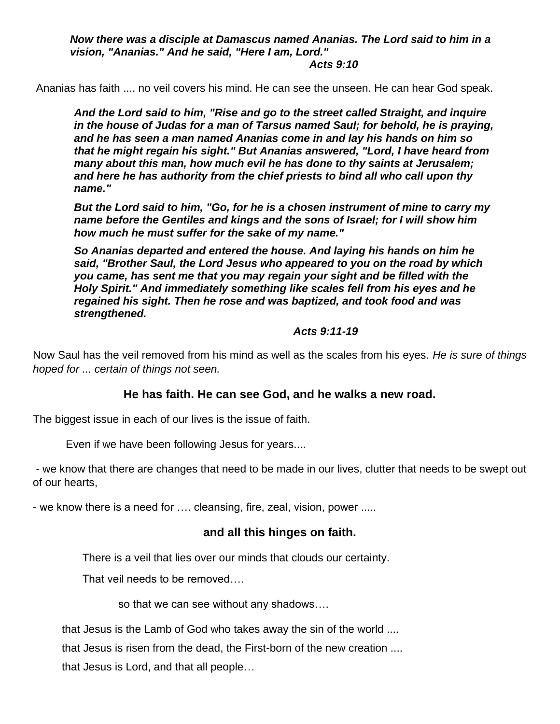*Now there was a disciple at Damascus named Ananias. The Lord said to him in a vision, "Ananias." And he said, "Here I am, Lord."* 

#### *Acts 9:10*

Ananias has faith .... no veil covers his mind. He can see the unseen. He can hear God speak.

*And the Lord said to him, "Rise and go to the street called Straight, and inquire in the house of Judas for a man of Tarsus named Saul; for behold, he is praying, and he has seen a man named Ananias come in and lay his hands on him so that he might regain his sight." But Ananias answered, "Lord, I have heard from many about this man, how much evil he has done to thy saints at Jerusalem; and here he has authority from the chief priests to bind all who call upon thy name."*

*But the Lord said to him, "Go, for he is a chosen instrument of mine to carry my name before the Gentiles and kings and the sons of Israel; for I will show him how much he must suffer for the sake of my name."*

*So Ananias departed and entered the house. And laying his hands on him he said, "Brother Saul, the Lord Jesus who appeared to you on the road by which you came, has sent me that you may regain your sight and be filled with the Holy Spirit." And immediately something like scales fell from his eyes and he regained his sight. Then he rose and was baptized, and took food and was strengthened.*

#### *Acts 9:11-19*

Now Saul has the veil removed from his mind as well as the scales from his eyes. *He is sure of things hoped for ... certain of things not seen.*

#### **He has faith. He can see God, and he walks a new road.**

The biggest issue in each of our lives is the issue of faith.

Even if we have been following Jesus for years....

- we know that there are changes that need to be made in our lives, clutter that needs to be swept out of our hearts,

- we know there is a need for …. cleansing, fire, zeal, vision, power .....

#### **and all this hinges on faith.**

There is a veil that lies over our minds that clouds our certainty.

That veil needs to be removed….

so that we can see without any shadows….

that Jesus is the Lamb of God who takes away the sin of the world ....

that Jesus is risen from the dead, the First-born of the new creation ....

that Jesus is Lord, and that all people…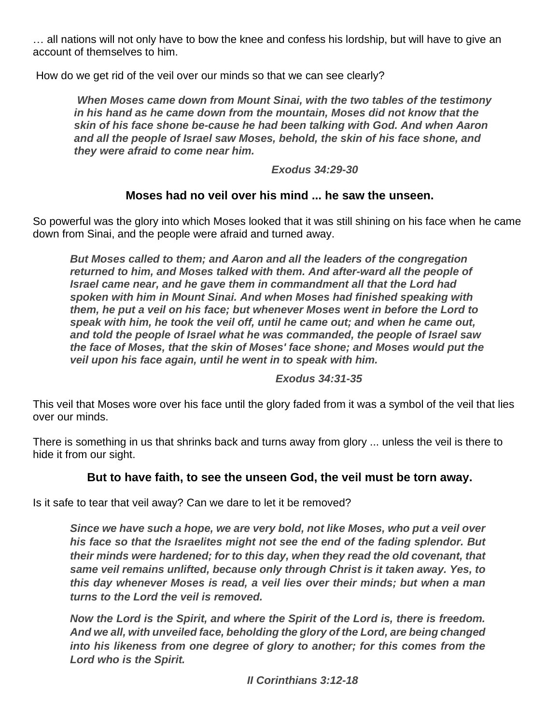… all nations will not only have to bow the knee and confess his lordship, but will have to give an account of themselves to him.

How do we get rid of the veil over our minds so that we can see clearly?

*When Moses came down from Mount Sinai, with the two tables of the testimony in his hand as he came down from the mountain, Moses did not know that the skin of his face shone be-cause he had been talking with God. And when Aaron and all the people of Israel saw Moses, behold, the skin of his face shone, and they were afraid to come near him.*

*Exodus 34:29-30*

## **Moses had no veil over his mind ... he saw the unseen.**

So powerful was the glory into which Moses looked that it was still shining on his face when he came down from Sinai, and the people were afraid and turned away.

*But Moses called to them; and Aaron and all the leaders of the congregation returned to him, and Moses talked with them. And after-ward all the people of Israel came near, and he gave them in commandment all that the Lord had spoken with him in Mount Sinai. And when Moses had finished speaking with them, he put a veil on his face; but whenever Moses went in before the Lord to speak with him, he took the veil off, until he came out; and when he came out, and told the people of Israel what he was commanded, the people of Israel saw the face of Moses, that the skin of Moses' face shone; and Moses would put the veil upon his face again, until he went in to speak with him.*

*Exodus 34:31-35*

This veil that Moses wore over his face until the glory faded from it was a symbol of the veil that lies over our minds.

There is something in us that shrinks back and turns away from glory ... unless the veil is there to hide it from our sight.

#### **But to have faith, to see the unseen God, the veil must be torn away.**

Is it safe to tear that veil away? Can we dare to let it be removed?

*Since we have such a hope, we are very bold, not like Moses, who put a veil over his face so that the Israelites might not see the end of the fading splendor. But their minds were hardened; for to this day, when they read the old covenant, that same veil remains unlifted, because only through Christ is it taken away. Yes, to this day whenever Moses is read, a veil lies over their minds; but when a man turns to the Lord the veil is removed.*

*Now the Lord is the Spirit, and where the Spirit of the Lord is, there is freedom. And we all, with unveiled face, beholding the glory of the Lord, are being changed into his likeness from one degree of glory to another; for this comes from the Lord who is the Spirit.*

*II Corinthians 3:12-18*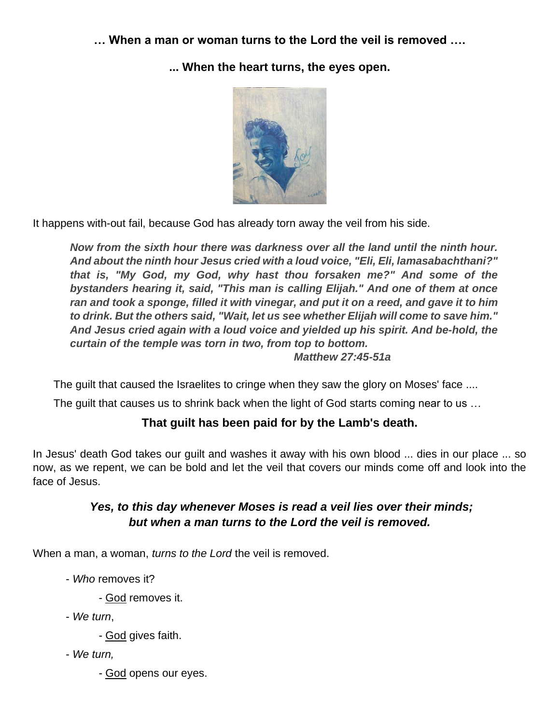**… When a man or woman turns to the Lord the veil is removed ….**

**... When the heart turns, the eyes open.** 



It happens with-out fail, because God has already torn away the veil from his side.

*Now from the sixth hour there was darkness over all the land until the ninth hour. And about the ninth hour Jesus cried with a loud voice, "Eli, Eli, lamasabachthani?" that is, "My God, my God, why hast thou forsaken me?" And some of the bystanders hearing it, said, "This man is calling Elijah." And one of them at once ran and took a sponge, filled it with vinegar, and put it on a reed, and gave it to him to drink. But the others said, "Wait, let us see whether Elijah will come to save him." And Jesus cried again with a loud voice and yielded up his spirit. And be-hold, the curtain of the temple was torn in two, from top to bottom. Matthew 27:45-51a*

The guilt that caused the Israelites to cringe when they saw the glory on Moses' face ....

The guilt that causes us to shrink back when the light of God starts coming near to us …

# **That guilt has been paid for by the Lamb's death.**

In Jesus' death God takes our guilt and washes it away with his own blood ... dies in our place ... so now, as we repent, we can be bold and let the veil that covers our minds come off and look into the face of Jesus.

# *Yes, to this day whenever Moses is read a veil lies over their minds; but when a man turns to the Lord the veil is removed.*

When a man, a woman, *turns to the Lord* the veil is removed.

- *Who* removes it?
	- God removes it.
- *We turn*,
	- God gives faith.
- *We turn,*
	- God opens our eyes.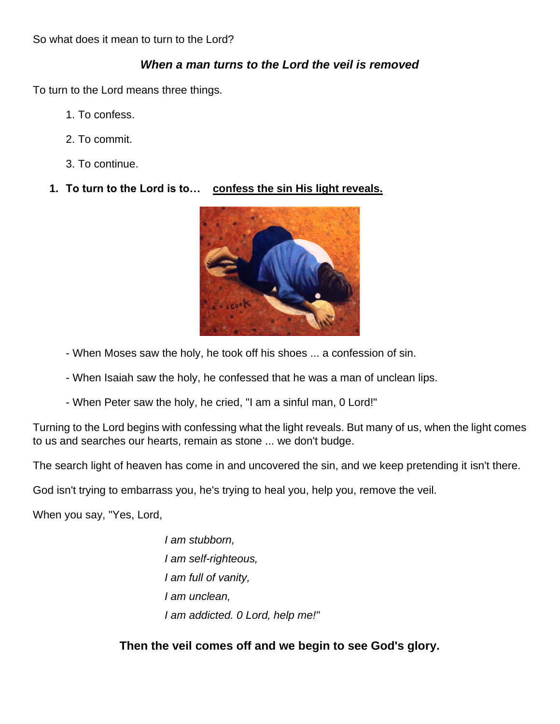So what does it mean to turn to the Lord?

## *When a man turns to the Lord the veil is removed*

To turn to the Lord means three things.

- 1. To confess.
- 2. To commit.
- 3. To continue.
- **1. To turn to the Lord is to… confess the sin His light reveals.**



- When Moses saw the holy, he took off his shoes ... a confession of sin.
- When Isaiah saw the holy, he confessed that he was a man of unclean lips.
- When Peter saw the holy, he cried, "I am a sinful man, 0 Lord!"

Turning to the Lord begins with confessing what the light reveals. But many of us, when the light comes to us and searches our hearts, remain as stone ... we don't budge.

The search light of heaven has come in and uncovered the sin, and we keep pretending it isn't there.

God isn't trying to embarrass you, he's trying to heal you, help you, remove the veil.

When you say, "Yes, Lord,

*I am stubborn, I am self-righteous, I am full of vanity, I am unclean, I am addicted. 0 Lord, help me!"*

**Then the veil comes off and we begin to see God's glory.**